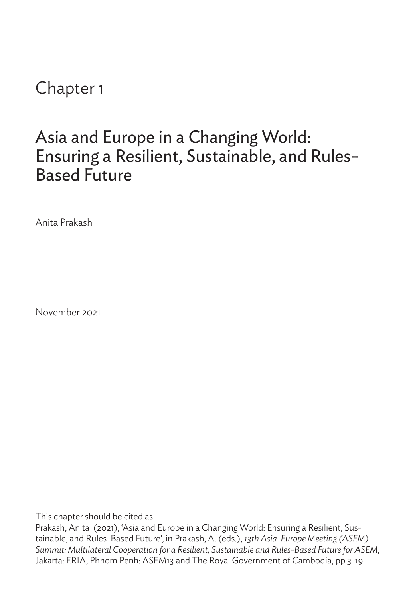Chapter 1

## Asia and Europe in a Changing World: Ensuring a Resilient, Sustainable, and Rules-Based Future

Anita Prakash

November 2021

This chapter should be cited as

Prakash, Anita (2021), 'Asia and Europe in a Changing World: Ensuring a Resilient, Sustainable, and Rules-Based Future', in Prakash, A. (eds.), *13th Asia-Europe Meeting (ASEM) Summit: Multilateral Cooperation for a Resilient, Sustainable and Rules-Based Future for ASEM*, Jakarta: ERIA, Phnom Penh: ASEM13 and The Royal Government of Cambodia, pp.3-19.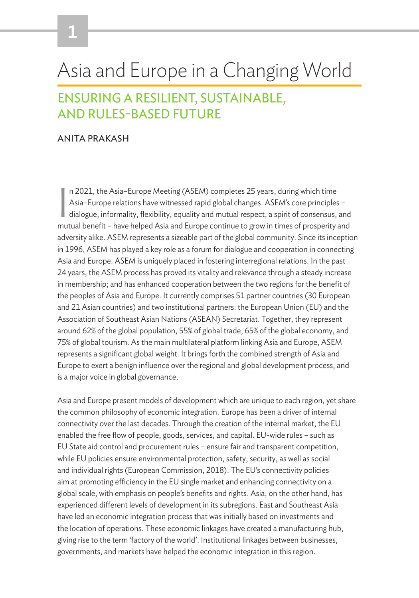# Asia and Europe in a Changing World

### ENSURING A RESILIENT, SUSTAINABLE, AND RULES-BASED FUTURE

#### ANITA PRAKASH

I n 2021, the Asia–Europe Meeting (ASEM) completes 25 years, during which time Asia–Europe relations have witnessed rapid global changes. ASEM's core principles – dialogue, informality, flexibility, equality and mutual respect, a spirit of consensus, and mutual benefit – have helped Asia and Europe continue to grow in times of prosperity and adversity alike. ASEM represents a sizeable part of the global community. Since its inception in 1996, ASEM has played a key role as a forum for dialogue and cooperation in connecting Asia and Europe. ASEM is uniquely placed in fostering interregional relations. In the past 24 years, the ASEM process has proved its vitality and relevance through a steady increase in membership; and has enhanced cooperation between the two regions for the benefit of the peoples of Asia and Europe. It currently comprises 51 partner countries (30 European and 21 Asian countries) and two institutional partners: the European Union (EU) and the Association of Southeast Asian Nations (ASEAN) Secretariat. Together, they represent around 62% of the global population, 55% of global trade, 65% of the global economy, and 75% of global tourism. As the main multilateral platform linking Asia and Europe, ASEM represents a significant global weight. It brings forth the combined strength of Asia and Europe to exert a benign influence over the regional and global development process, and is a major voice in global governance.

Asia and Europe present models of development which are unique to each region, yet share the common philosophy of economic integration. Europe has been a driver of internal connectivity over the last decades. Through the creation of the internal market, the EU enabled the free flow of people, goods, services, and capital. EU-wide rules – such as EU State aid control and procurement rules – ensure fair and transparent competition, while EU policies ensure environmental protection, safety, security, as well as social and individual rights (European Commission, 2018). The EU's connectivity policies aim at promoting efficiency in the EU single market and enhancing connectivity on a global scale, with emphasis on people's benefits and rights. Asia, on the other hand, has experienced different levels of development in its subregions. East and Southeast Asia have led an economic integration process that was initially based on investments and the location of operations. These economic linkages have created a manufacturing hub, giving rise to the term 'factory of the world'. Institutional linkages between businesses, governments, and markets have helped the economic integration in this region.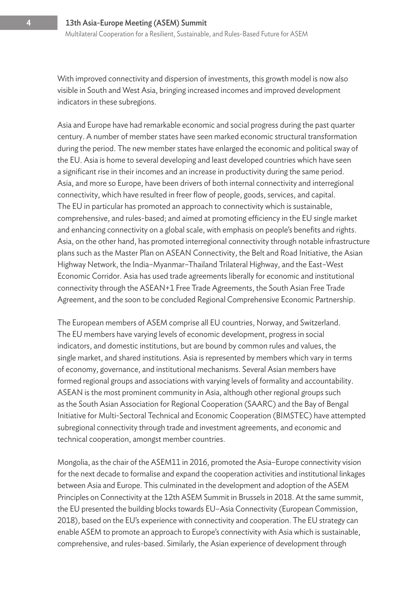With improved connectivity and dispersion of investments, this growth model is now also visible in South and West Asia, bringing increased incomes and improved development indicators in these subregions.

Asia and Europe have had remarkable economic and social progress during the past quarter century. A number of member states have seen marked economic structural transformation during the period. The new member states have enlarged the economic and political sway of the EU. Asia is home to several developing and least developed countries which have seen a significant rise in their incomes and an increase in productivity during the same period. Asia, and more so Europe, have been drivers of both internal connectivity and interregional connectivity, which have resulted in freer flow of people, goods, services, and capital. The EU in particular has promoted an approach to connectivity which is sustainable, comprehensive, and rules-based; and aimed at promoting efficiency in the EU single market and enhancing connectivity on a global scale, with emphasis on people's benefits and rights. Asia, on the other hand, has promoted interregional connectivity through notable infrastructure plans such as the Master Plan on ASEAN Connectivity, the Belt and Road Initiative, the Asian Highway Network, the India–Myanmar–Thailand Trilateral Highway, and the East–West Economic Corridor. Asia has used trade agreements liberally for economic and institutional connectivity through the ASEAN+1 Free Trade Agreements, the South Asian Free Trade Agreement, and the soon to be concluded Regional Comprehensive Economic Partnership.

The European members of ASEM comprise all EU countries, Norway, and Switzerland. The EU members have varying levels of economic development, progress in social indicators, and domestic institutions, but are bound by common rules and values, the single market, and shared institutions. Asia is represented by members which vary in terms of economy, governance, and institutional mechanisms. Several Asian members have formed regional groups and associations with varying levels of formality and accountability. ASEAN is the most prominent community in Asia, although other regional groups such as the South Asian Association for Regional Cooperation (SAARC) and the Bay of Bengal Initiative for Multi-Sectoral Technical and Economic Cooperation (BIMSTEC) have attempted subregional connectivity through trade and investment agreements, and economic and technical cooperation, amongst member countries.

Mongolia, as the chair of the ASEM11 in 2016, promoted the Asia–Europe connectivity vision for the next decade to formalise and expand the cooperation activities and institutional linkages between Asia and Europe. This culminated in the development and adoption of the ASEM Principles on Connectivity at the 12th ASEM Summit in Brussels in 2018. At the same summit, the EU presented the building blocks towards EU–Asia Connectivity (European Commission, 2018), based on the EU's experience with connectivity and cooperation. The EU strategy can enable ASEM to promote an approach to Europe's connectivity with Asia which is sustainable, comprehensive, and rules-based. Similarly, the Asian experience of development through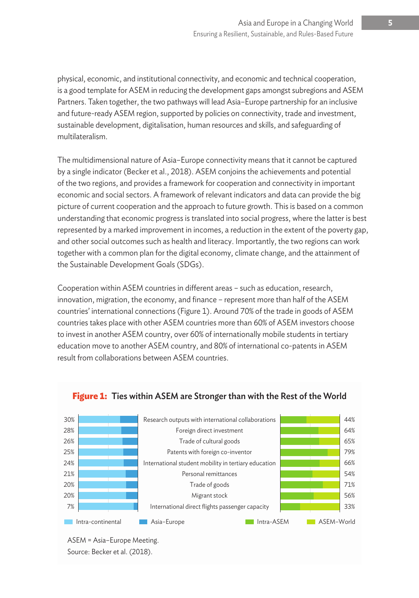physical, economic, and institutional connectivity, and economic and technical cooperation, is a good template for ASEM in reducing the development gaps amongst subregions and ASEM Partners. Taken together, the two pathways will lead Asia–Europe partnership for an inclusive and future-ready ASEM region, supported by policies on connectivity, trade and investment, sustainable development, digitalisation, human resources and skills, and safeguarding of multilateralism.

The multidimensional nature of Asia–Europe connectivity means that it cannot be captured by a single indicator (Becker et al., 2018). ASEM conjoins the achievements and potential of the two regions, and provides a framework for cooperation and connectivity in important economic and social sectors. A framework of relevant indicators and data can provide the big picture of current cooperation and the approach to future growth. This is based on a common understanding that economic progress is translated into social progress, where the latter is best represented by a marked improvement in incomes, a reduction in the extent of the poverty gap, and other social outcomes such as health and literacy. Importantly, the two regions can work together with a common plan for the digital economy, climate change, and the attainment of the Sustainable Development Goals (SDGs).

Cooperation within ASEM countries in different areas – such as education, research, innovation, migration, the economy, and finance – represent more than half of the ASEM countries' international connections (Figure 1). Around 70% of the trade in goods of ASEM countries takes place with other ASEM countries more than 60% of ASEM investors choose to invest in another ASEM country, over 60% of internationally mobile students in tertiary education move to another ASEM country, and 80% of international co-patents in ASEM result from collaborations between ASEM countries.



#### **Figure 1:** Ties within ASEM are Stronger than with the Rest of the World

ASEM = Asia–Europe Meeting. Source: Becker et al. (2018).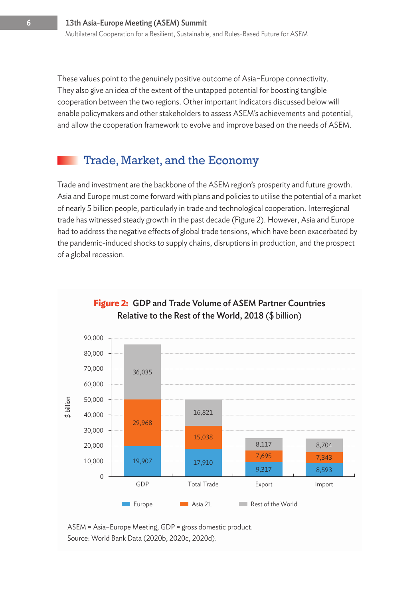These values point to the genuinely positive outcome of Asia−Europe connectivity. They also give an idea of the extent of the untapped potential for boosting tangible cooperation between the two regions. Other important indicators discussed below will enable policymakers and other stakeholders to assess ASEM's achievements and potential, and allow the cooperation framework to evolve and improve based on the needs of ASEM.

#### Trade, Market, and the Economy

Trade and investment are the backbone of the ASEM region's prosperity and future growth. Asia and Europe must come forward with plans and policies to utilise the potential of a market of nearly 5 billion people, particularly in trade and technological cooperation. Interregional trade has witnessed steady growth in the past decade (Figure 2). However, Asia and Europe had to address the negative effects of global trade tensions, which have been exacerbated by the pandemic-induced shocks to supply chains, disruptions in production, and the prospect of a global recession.



#### **Figure 2:** GDP and Trade Volume of ASEM Partner Countries Relative to the Rest of the World, 2018 (\$ billion)

ASEM = Asia–Europe Meeting, GDP = gross domestic product. Source: World Bank Data (2020b, 2020c, 2020d).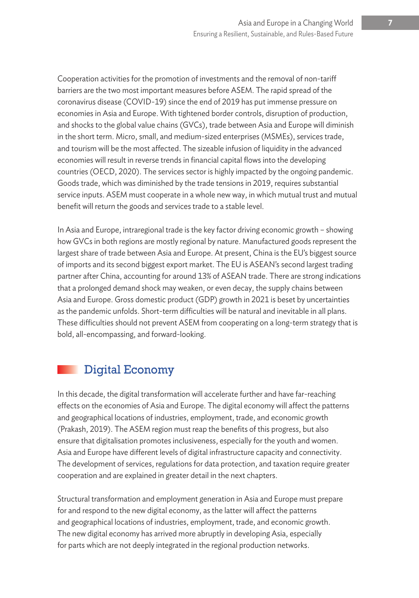Cooperation activities for the promotion of investments and the removal of non-tariff barriers are the two most important measures before ASEM. The rapid spread of the coronavirus disease (COVID-19) since the end of 2019 has put immense pressure on economies in Asia and Europe. With tightened border controls, disruption of production, and shocks to the global value chains (GVCs), trade between Asia and Europe will diminish in the short term. Micro, small, and medium-sized enterprises (MSMEs), services trade, and tourism will be the most affected. The sizeable infusion of liquidity in the advanced economies will result in reverse trends in financial capital flows into the developing countries (OECD, 2020). The services sector is highly impacted by the ongoing pandemic. Goods trade, which was diminished by the trade tensions in 2019, requires substantial service inputs. ASEM must cooperate in a whole new way, in which mutual trust and mutual benefit will return the goods and services trade to a stable level.

In Asia and Europe, intraregional trade is the key factor driving economic growth – showing how GVCs in both regions are mostly regional by nature. Manufactured goods represent the largest share of trade between Asia and Europe. At present, China is the EU's biggest source of imports and its second biggest export market. The EU is ASEAN's second largest trading partner after China, accounting for around 13% of ASEAN trade. There are strong indications that a prolonged demand shock may weaken, or even decay, the supply chains between Asia and Europe. Gross domestic product (GDP) growth in 2021 is beset by uncertainties as the pandemic unfolds. Short-term difficulties will be natural and inevitable in all plans. These difficulties should not prevent ASEM from cooperating on a long-term strategy that is bold, all-encompassing, and forward-looking.

### Digital Economy

In this decade, the digital transformation will accelerate further and have far-reaching effects on the economies of Asia and Europe. The digital economy will affect the patterns and geographical locations of industries, employment, trade, and economic growth (Prakash, 2019). The ASEM region must reap the benefits of this progress, but also ensure that digitalisation promotes inclusiveness, especially for the youth and women. Asia and Europe have different levels of digital infrastructure capacity and connectivity. The development of services, regulations for data protection, and taxation require greater cooperation and are explained in greater detail in the next chapters.

Structural transformation and employment generation in Asia and Europe must prepare for and respond to the new digital economy, as the latter will affect the patterns and geographical locations of industries, employment, trade, and economic growth. The new digital economy has arrived more abruptly in developing Asia, especially for parts which are not deeply integrated in the regional production networks.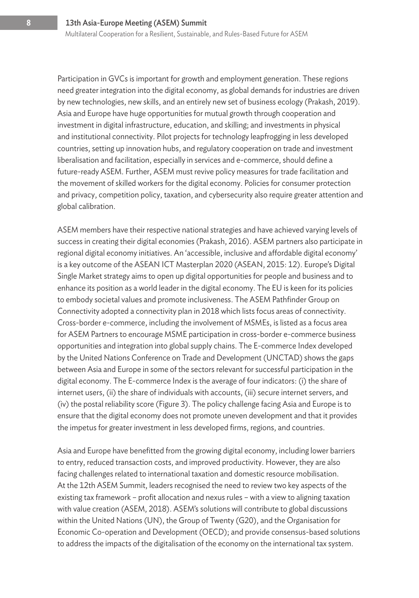Participation in GVCs is important for growth and employment generation. These regions need greater integration into the digital economy, as global demands for industries are driven by new technologies, new skills, and an entirely new set of business ecology (Prakash, 2019). Asia and Europe have huge opportunities for mutual growth through cooperation and investment in digital infrastructure, education, and skilling; and investments in physical and institutional connectivity. Pilot projects for technology leapfrogging in less developed countries, setting up innovation hubs, and regulatory cooperation on trade and investment liberalisation and facilitation, especially in services and e-commerce, should define a future-ready ASEM. Further, ASEM must revive policy measures for trade facilitation and the movement of skilled workers for the digital economy. Policies for consumer protection and privacy, competition policy, taxation, and cybersecurity also require greater attention and global calibration.

ASEM members have their respective national strategies and have achieved varying levels of success in creating their digital economies (Prakash, 2016). ASEM partners also participate in regional digital economy initiatives. An 'accessible, inclusive and affordable digital economy' is a key outcome of the ASEAN ICT Masterplan 2020 (ASEAN, 2015: 12). Europe's Digital Single Market strategy aims to open up digital opportunities for people and business and to enhance its position as a world leader in the digital economy. The EU is keen for its policies to embody societal values and promote inclusiveness. The ASEM Pathfinder Group on Connectivity adopted a connectivity plan in 2018 which lists focus areas of connectivity. Cross-border e-commerce, including the involvement of MSMEs, is listed as a focus area for ASEM Partners to encourage MSME participation in cross-border e-commerce business opportunities and integration into global supply chains. The E-commerce Index developed by the United Nations Conference on Trade and Development (UNCTAD) shows the gaps between Asia and Europe in some of the sectors relevant for successful participation in the digital economy. The E-commerce Index is the average of four indicators: (i) the share of internet users, (ii) the share of individuals with accounts, (iii) secure internet servers, and (iv) the postal reliability score (Figure 3). The policy challenge facing Asia and Europe is to ensure that the digital economy does not promote uneven development and that it provides the impetus for greater investment in less developed firms, regions, and countries.

Asia and Europe have benefitted from the growing digital economy, including lower barriers to entry, reduced transaction costs, and improved productivity. However, they are also facing challenges related to international taxation and domestic resource mobilisation. At the 12th ASEM Summit, leaders recognised the need to review two key aspects of the existing tax framework – profit allocation and nexus rules – with a view to aligning taxation with value creation (ASEM, 2018). ASEM's solutions will contribute to global discussions within the United Nations (UN), the Group of Twenty (G20), and the Organisation for Economic Co-operation and Development (OECD); and provide consensus-based solutions to address the impacts of the digitalisation of the economy on the international tax system.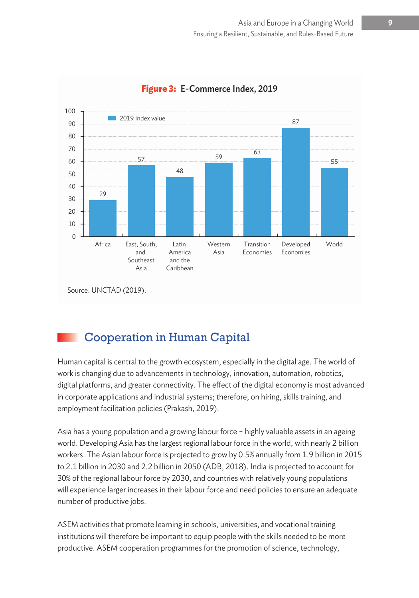

#### **Figure 3:** E-Commerce Index, 2019

### Cooperation in Human Capital

Human capital is central to the growth ecosystem, especially in the digital age. The world of work is changing due to advancements in technology, innovation, automation, robotics, digital platforms, and greater connectivity. The effect of the digital economy is most advanced in corporate applications and industrial systems; therefore, on hiring, skills training, and employment facilitation policies (Prakash, 2019).

Asia has a young population and a growing labour force − highly valuable assets in an ageing world. Developing Asia has the largest regional labour force in the world, with nearly 2 billion workers. The Asian labour force is projected to grow by 0.5% annually from 1.9 billion in 2015 to 2.1 billion in 2030 and 2.2 billion in 2050 (ADB, 2018). India is projected to account for 30% of the regional labour force by 2030, and countries with relatively young populations will experience larger increases in their labour force and need policies to ensure an adequate number of productive jobs.

ASEM activities that promote learning in schools, universities, and vocational training institutions will therefore be important to equip people with the skills needed to be more productive. ASEM cooperation programmes for the promotion of science, technology,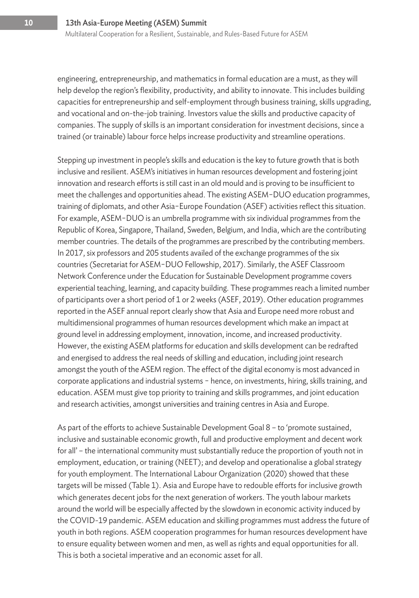engineering, entrepreneurship, and mathematics in formal education are a must, as they will help develop the region's flexibility, productivity, and ability to innovate. This includes building capacities for entrepreneurship and self-employment through business training, skills upgrading, and vocational and on-the-job training. Investors value the skills and productive capacity of companies. The supply of skills is an important consideration for investment decisions, since a trained (or trainable) labour force helps increase productivity and streamline operations.

Stepping up investment in people's skills and education is the key to future growth that is both inclusive and resilient. ASEM's initiatives in human resources development and fostering joint innovation and research efforts is still cast in an old mould and is proving to be insufficient to meet the challenges and opportunities ahead. The existing ASEM−DUO education programmes, training of diplomats, and other Asia−Europe Foundation (ASEF) activities reflect this situation. For example, ASEM−DUO is an umbrella programme with six individual programmes from the Republic of Korea, Singapore, Thailand, Sweden, Belgium, and India, which are the contributing member countries. The details of the programmes are prescribed by the contributing members. In 2017, six professors and 205 students availed of the exchange programmes of the six countries (Secretariat for ASEM−DUO Fellowship, 2017). Similarly, the ASEF Classroom Network Conference under the Education for Sustainable Development programme covers experiential teaching, learning, and capacity building. These programmes reach a limited number of participants over a short period of 1 or 2 weeks (ASEF, 2019). Other education programmes reported in the ASEF annual report clearly show that Asia and Europe need more robust and multidimensional programmes of human resources development which make an impact at ground level in addressing employment, innovation, income, and increased productivity. However, the existing ASEM platforms for education and skills development can be redrafted and energised to address the real needs of skilling and education, including joint research amongst the youth of the ASEM region. The effect of the digital economy is most advanced in corporate applications and industrial systems − hence, on investments, hiring, skills training, and education. ASEM must give top priority to training and skills programmes, and joint education and research activities, amongst universities and training centres in Asia and Europe.

As part of the efforts to achieve Sustainable Development Goal 8 – to 'promote sustained, inclusive and sustainable economic growth, full and productive employment and decent work for all' – the international community must substantially reduce the proportion of youth not in employment, education, or training (NEET); and develop and operationalise a global strategy for youth employment. The International Labour Organization (2020) showed that these targets will be missed (Table 1). Asia and Europe have to redouble efforts for inclusive growth which generates decent jobs for the next generation of workers. The youth labour markets around the world will be especially affected by the slowdown in economic activity induced by the COVID-19 pandemic. ASEM education and skilling programmes must address the future of youth in both regions. ASEM cooperation programmes for human resources development have to ensure equality between women and men, as well as rights and equal opportunities for all. This is both a societal imperative and an economic asset for all.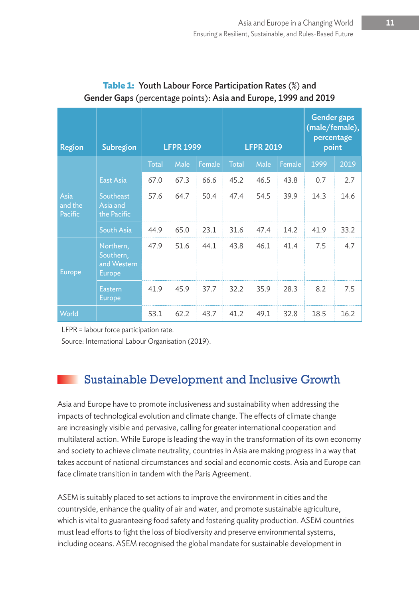| <b>Region</b>              | Subregion                                       | <b>LFPR 1999</b> |      |        | <b>LFPR 2019</b> |      |        | <b>Gender gaps</b><br>(male/female),<br>percentage<br>point |      |
|----------------------------|-------------------------------------------------|------------------|------|--------|------------------|------|--------|-------------------------------------------------------------|------|
|                            |                                                 | <b>Total</b>     | Male | Female | <b>Total</b>     | Male | Female | 1999                                                        | 2019 |
| Asia<br>and the<br>Pacific | <b>East Asia</b>                                | 67.0             | 67.3 | 66.6   | 45.2             | 46.5 | 43.8   | 0.7                                                         | 2.7  |
|                            | Southeast<br>Asia and<br>the Pacific            | 57.6             | 64.7 | 50.4   | 47.4             | 54.5 | 39.9   | 14.3                                                        | 14.6 |
|                            | South Asia                                      | 44.9             | 65.0 | 23.1   | 31.6             | 47.4 | 14.2   | 41.9                                                        | 33.2 |
| <b>Europe</b>              | Northern,<br>Southern,<br>and Western<br>Europe | 47.9             | 51.6 | 44.1   | 43.8             | 46.1 | 41.4   | 7.5                                                         | 4.7  |
|                            | <b>Eastern</b><br>Europe                        | 41.9             | 45.9 | 37.7   | 32.2             | 35.9 | 28.3   | 8.2                                                         | 7.5  |
| World                      |                                                 | 53.1             | 62.2 | 43.7   | 41.2             | 49.1 | 32.8   | 18.5                                                        | 16.2 |

#### **Table 1:** Youth Labour Force Participation Rates (%) and Gender Gaps (percentage points): Asia and Europe, 1999 and 2019

LFPR = labour force participation rate.

Source: International Labour Organisation (2019).

### Sustainable Development and Inclusive Growth

Asia and Europe have to promote inclusiveness and sustainability when addressing the impacts of technological evolution and climate change. The effects of climate change are increasingly visible and pervasive, calling for greater international cooperation and multilateral action. While Europe is leading the way in the transformation of its own economy and society to achieve climate neutrality, countries in Asia are making progress in a way that takes account of national circumstances and social and economic costs. Asia and Europe can face climate transition in tandem with the Paris Agreement.

ASEM is suitably placed to set actions to improve the environment in cities and the countryside, enhance the quality of air and water, and promote sustainable agriculture, which is vital to guaranteeing food safety and fostering quality production. ASEM countries must lead efforts to fight the loss of biodiversity and preserve environmental systems, including oceans. ASEM recognised the global mandate for sustainable development in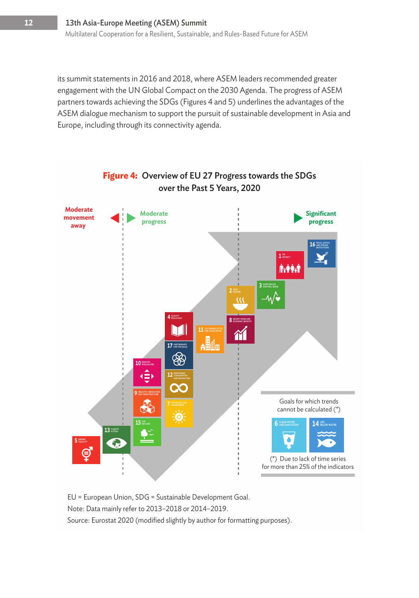its summit statements in 2016 and 2018, where ASEM leaders recommended greater engagement with the UN Global Compact on the 2030 Agenda. The progress of ASEM partners towards achieving the SDGs (Figures 4 and 5) underlines the advantages of the ASEM dialogue mechanism to support the pursuit of sustainable development in Asia and Europe, including through its connectivity agenda.



EU = European Union, SDG = Sustainable Development Goal.

Note: Data mainly refer to 2013–2018 or 2014–2019.

Source: Eurostat 2020 (modified slightly by author for formatting purposes).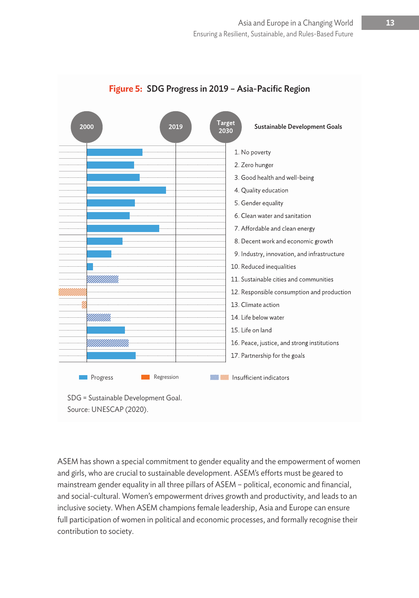

#### **Figure 5:** SDG Progress in 2019 – Asia-Pacific Region

ASEM has shown a special commitment to gender equality and the empowerment of women and girls, who are crucial to sustainable development. ASEM's efforts must be geared to mainstream gender equality in all three pillars of ASEM – political, economic and financial, and social-cultural. Women's empowerment drives growth and productivity, and leads to an inclusive society. When ASEM champions female leadership, Asia and Europe can ensure full participation of women in political and economic processes, and formally recognise their contribution to society.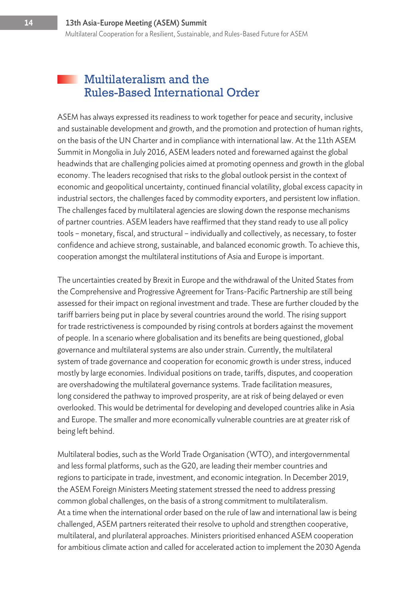#### Multilateralism and the Rules-Based International Order

ASEM has always expressed its readiness to work together for peace and security, inclusive and sustainable development and growth, and the promotion and protection of human rights, on the basis of the UN Charter and in compliance with international law. At the 11th ASEM Summit in Mongolia in July 2016, ASEM leaders noted and forewarned against the global headwinds that are challenging policies aimed at promoting openness and growth in the global economy. The leaders recognised that risks to the global outlook persist in the context of economic and geopolitical uncertainty, continued financial volatility, global excess capacity in industrial sectors, the challenges faced by commodity exporters, and persistent low inflation. The challenges faced by multilateral agencies are slowing down the response mechanisms of partner countries. ASEM leaders have reaffirmed that they stand ready to use all policy tools – monetary, fiscal, and structural – individually and collectively, as necessary, to foster confidence and achieve strong, sustainable, and balanced economic growth. To achieve this, cooperation amongst the multilateral institutions of Asia and Europe is important.

The uncertainties created by Brexit in Europe and the withdrawal of the United States from the Comprehensive and Progressive Agreement for Trans-Pacific Partnership are still being assessed for their impact on regional investment and trade. These are further clouded by the tariff barriers being put in place by several countries around the world. The rising support for trade restrictiveness is compounded by rising controls at borders against the movement of people. In a scenario where globalisation and its benefits are being questioned, global governance and multilateral systems are also under strain. Currently, the multilateral system of trade governance and cooperation for economic growth is under stress, induced mostly by large economies. Individual positions on trade, tariffs, disputes, and cooperation are overshadowing the multilateral governance systems. Trade facilitation measures, long considered the pathway to improved prosperity, are at risk of being delayed or even overlooked. This would be detrimental for developing and developed countries alike in Asia and Europe. The smaller and more economically vulnerable countries are at greater risk of being left behind.

Multilateral bodies, such as the World Trade Organisation (WTO), and intergovernmental and less formal platforms, such as the G20, are leading their member countries and regions to participate in trade, investment, and economic integration. In December 2019, the ASEM Foreign Ministers Meeting statement stressed the need to address pressing common global challenges, on the basis of a strong commitment to multilateralism. At a time when the international order based on the rule of law and international law is being challenged, ASEM partners reiterated their resolve to uphold and strengthen cooperative, multilateral, and plurilateral approaches. Ministers prioritised enhanced ASEM cooperation for ambitious climate action and called for accelerated action to implement the 2030 Agenda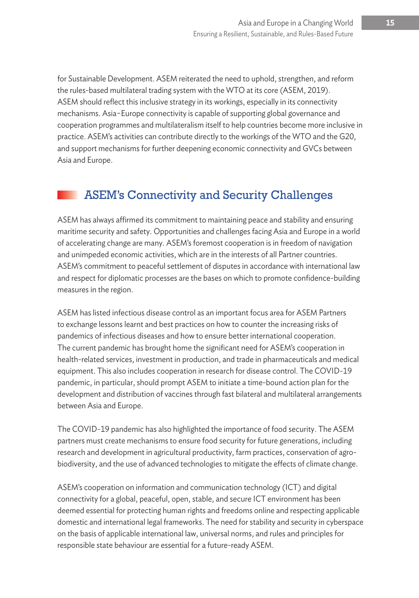for Sustainable Development. ASEM reiterated the need to uphold, strengthen, and reform the rules-based multilateral trading system with the WTO at its core (ASEM, 2019). ASEM should reflect this inclusive strategy in its workings, especially in its connectivity mechanisms. Asia−Europe connectivity is capable of supporting global governance and cooperation programmes and multilateralism itself to help countries become more inclusive in practice. ASEM's activities can contribute directly to the workings of the WTO and the G20, and support mechanisms for further deepening economic connectivity and GVCs between Asia and Europe.

### ASEM's Connectivity and Security Challenges

ASEM has always affirmed its commitment to maintaining peace and stability and ensuring maritime security and safety. Opportunities and challenges facing Asia and Europe in a world of accelerating change are many. ASEM's foremost cooperation is in freedom of navigation and unimpeded economic activities, which are in the interests of all Partner countries. ASEM's commitment to peaceful settlement of disputes in accordance with international law and respect for diplomatic processes are the bases on which to promote confidence-building measures in the region.

ASEM has listed infectious disease control as an important focus area for ASEM Partners to exchange lessons learnt and best practices on how to counter the increasing risks of pandemics of infectious diseases and how to ensure better international cooperation. The current pandemic has brought home the significant need for ASEM's cooperation in health-related services, investment in production, and trade in pharmaceuticals and medical equipment. This also includes cooperation in research for disease control. The COVID-19 pandemic, in particular, should prompt ASEM to initiate a time-bound action plan for the development and distribution of vaccines through fast bilateral and multilateral arrangements between Asia and Europe.

The COVID-19 pandemic has also highlighted the importance of food security. The ASEM partners must create mechanisms to ensure food security for future generations, including research and development in agricultural productivity, farm practices, conservation of agrobiodiversity, and the use of advanced technologies to mitigate the effects of climate change.

ASEM's cooperation on information and communication technology (ICT) and digital connectivity for a global, peaceful, open, stable, and secure ICT environment has been deemed essential for protecting human rights and freedoms online and respecting applicable domestic and international legal frameworks. The need for stability and security in cyberspace on the basis of applicable international law, universal norms, and rules and principles for responsible state behaviour are essential for a future-ready ASEM.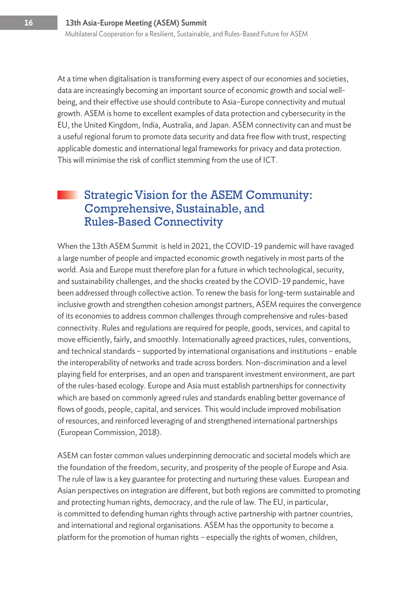At a time when digitalisation is transforming every aspect of our economies and societies, data are increasingly becoming an important source of economic growth and social wellbeing, and their effective use should contribute to Asia–Europe connectivity and mutual growth. ASEM is home to excellent examples of data protection and cybersecurity in the EU, the United Kingdom, India, Australia, and Japan. ASEM connectivity can and must be a useful regional forum to promote data security and data free flow with trust, respecting applicable domestic and international legal frameworks for privacy and data protection. This will minimise the risk of conflict stemming from the use of ICT.

### Strategic Vision for the ASEM Community: Comprehensive, Sustainable, and Rules-Based Connectivity

When the 13th ASEM Summit is held in 2021, the COVID-19 pandemic will have ravaged a large number of people and impacted economic growth negatively in most parts of the world. Asia and Europe must therefore plan for a future in which technological, security, and sustainability challenges, and the shocks created by the COVID-19 pandemic, have been addressed through collective action. To renew the basis for long-term sustainable and inclusive growth and strengthen cohesion amongst partners, ASEM requires the convergence of its economies to address common challenges through comprehensive and rules-based connectivity. Rules and regulations are required for people, goods, services, and capital to move efficiently, fairly, and smoothly. Internationally agreed practices, rules, conventions, and technical standards – supported by international organisations and institutions – enable the interoperability of networks and trade across borders. Non-discrimination and a level playing field for enterprises, and an open and transparent investment environment, are part of the rules-based ecology. Europe and Asia must establish partnerships for connectivity which are based on commonly agreed rules and standards enabling better governance of flows of goods, people, capital, and services. This would include improved mobilisation of resources, and reinforced leveraging of and strengthened international partnerships (European Commission, 2018).

ASEM can foster common values underpinning democratic and societal models which are the foundation of the freedom, security, and prosperity of the people of Europe and Asia. The rule of law is a key guarantee for protecting and nurturing these values. European and Asian perspectives on integration are different, but both regions are committed to promoting and protecting human rights, democracy, and the rule of law. The EU, in particular, is committed to defending human rights through active partnership with partner countries, and international and regional organisations. ASEM has the opportunity to become a platform for the promotion of human rights – especially the rights of women, children,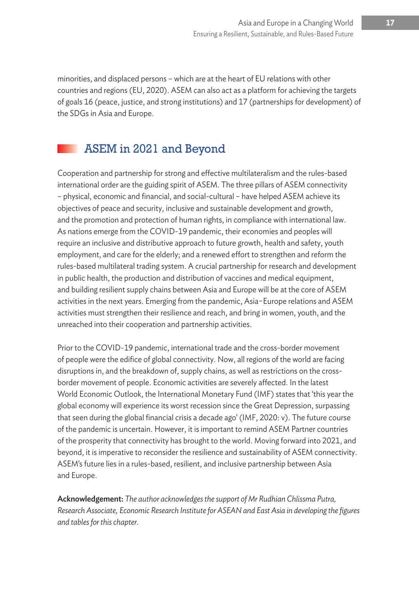minorities, and displaced persons – which are at the heart of EU relations with other countries and regions (EU, 2020). ASEM can also act as a platform for achieving the targets of goals 16 (peace, justice, and strong institutions) and 17 (partnerships for development) of the SDGs in Asia and Europe.

#### ASEM in 2021 and Beyond

Cooperation and partnership for strong and effective multilateralism and the rules-based international order are the guiding spirit of ASEM. The three pillars of ASEM connectivity – physical, economic and financial, and social-cultural – have helped ASEM achieve its objectives of peace and security, inclusive and sustainable development and growth, and the promotion and protection of human rights, in compliance with international law. As nations emerge from the COVID-19 pandemic, their economies and peoples will require an inclusive and distributive approach to future growth, health and safety, youth employment, and care for the elderly; and a renewed effort to strengthen and reform the rules-based multilateral trading system. A crucial partnership for research and development in public health, the production and distribution of vaccines and medical equipment, and building resilient supply chains between Asia and Europe will be at the core of ASEM activities in the next years. Emerging from the pandemic, Asia−Europe relations and ASEM activities must strengthen their resilience and reach, and bring in women, youth, and the unreached into their cooperation and partnership activities.

Prior to the COVID-19 pandemic, international trade and the cross-border movement of people were the edifice of global connectivity. Now, all regions of the world are facing disruptions in, and the breakdown of, supply chains, as well as restrictions on the crossborder movement of people. Economic activities are severely affected. In the latest World Economic Outlook, the International Monetary Fund (IMF) states that 'this year the global economy will experience its worst recession since the Great Depression, surpassing that seen during the global financial crisis a decade ago' (IMF, 2020: v). The future course of the pandemic is uncertain. However, it is important to remind ASEM Partner countries of the prosperity that connectivity has brought to the world. Moving forward into 2021, and beyond, it is imperative to reconsider the resilience and sustainability of ASEM connectivity. ASEM's future lies in a rules-based, resilient, and inclusive partnership between Asia and Europe.

Acknowledgement: *The author acknowledges the support of Mr Rudhian Chlissma Putra, Research Associate, Economic Research Institute for ASEAN and East Asia in developing the figures and tables for this chapter.*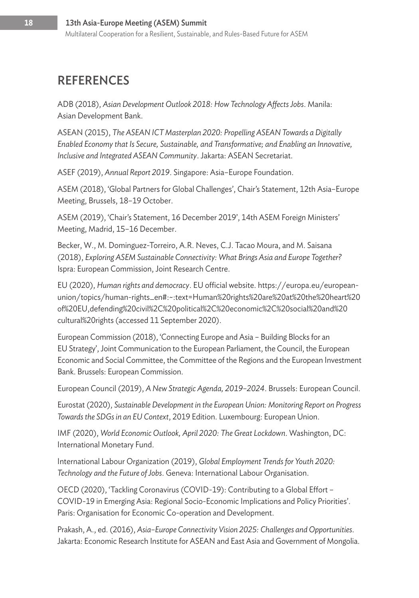### **REFERENCES**

ADB (2018), *Asian Development Outlook 2018: How Technology Affects Jobs*. Manila: Asian Development Bank.

ASEAN (2015), *The ASEAN ICT Masterplan 2020: Propelling ASEAN Towards a Digitally Enabled Economy that Is Secure, Sustainable, and Transformative; and Enabling an Innovative, Inclusive and Integrated ASEAN Community*. Jakarta: ASEAN Secretariat.

ASEF (2019), *Annual Report 2019*. Singapore: Asia–Europe Foundation.

ASEM (2018), 'Global Partners for Global Challenges', Chair's Statement, 12th Asia–Europe Meeting, Brussels, 18–19 October.

ASEM (2019), 'Chair's Statement, 16 December 2019', 14th ASEM Foreign Ministers' Meeting, Madrid, 15–16 December.

Becker, W., M. Dominguez-Torreiro, A.R. Neves, C.J. Tacao Moura, and M. Saisana (2018), *Exploring ASEM Sustainable Connectivity: What Brings Asia and Europe Together?* Ispra: European Commission, Joint Research Centre.

EU (2020), *Human rights and democracy*. EU official website. https://europa.eu/europeanunion/topics/human-rights\_en#:~:text=Human%20rights%20are%20at%20the%20heart%20 of%20EU,defending%20civil%2C%20political%2C%20economic%2C%20social%20and%20 cultural%20rights (accessed 11 September 2020).

European Commission (2018), 'Connecting Europe and Asia – Building Blocks for an EU Strategy', Joint Communication to the European Parliament, the Council, the European Economic and Social Committee, the Committee of the Regions and the European Investment Bank. Brussels: European Commission.

European Council (2019), *A New Strategic Agenda, 2019–2024*. Brussels: European Council.

Eurostat (2020), *Sustainable Development in the European Union: Monitoring Report on Progress Towards the SDGs in an EU Context*, 2019 Edition. Luxembourg: European Union.

IMF (2020), *World Economic Outlook, April 2020: The Great Lockdown*. Washington, DC: International Monetary Fund.

International Labour Organization (2019), *Global Employment Trends for Youth 2020: Technology and the Future of Jobs*. Geneva: International Labour Organisation.

OECD (2020), 'Tackling Coronavirus (COVID-19): Contributing to a Global Effort – COVID-19 in Emerging Asia: Regional Socio-Economic Implications and Policy Priorities'. Paris: Organisation for Economic Co-operation and Development.

Prakash, A., ed. (2016), *Asia–Europe Connectivity Vision 2025: Challenges and Opportunities*. Jakarta: Economic Research Institute for ASEAN and East Asia and Government of Mongolia.